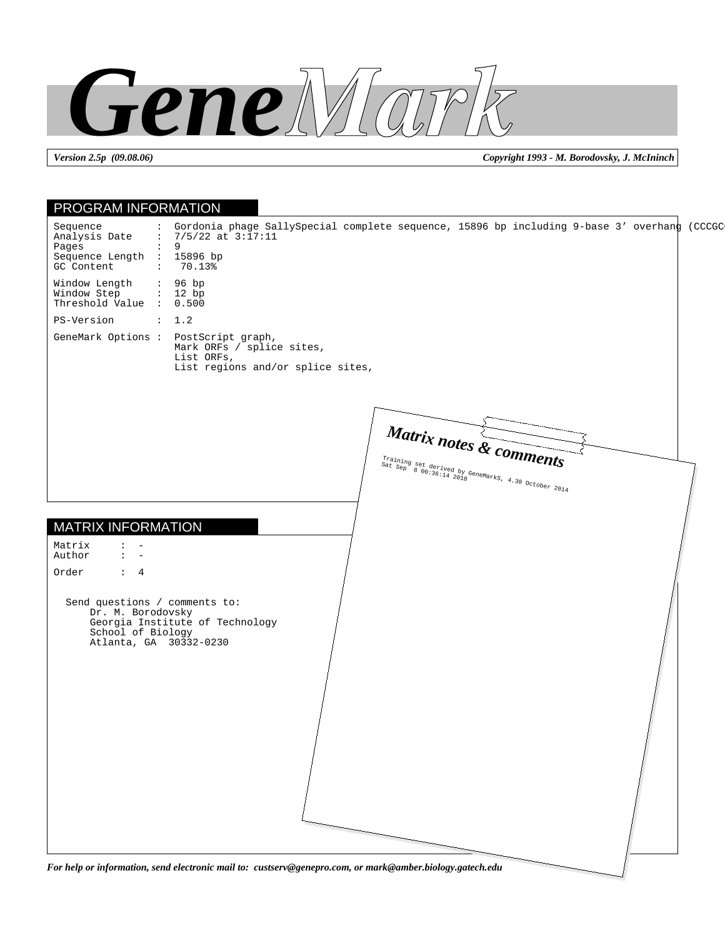

*Version 2.5p (09.08.06) Copyright 1993 - M. Borodovsky, J. McIninch*

| : Gordonia phage SallySpecial complete sequence, 15896 bp including 9-base 3' overhang (CCCGC<br>: $7/5/22$ at $3:17:11$<br>$\cdot$ 9<br>Sequence Length : 15896 bp<br>: 70.13<br>: 96 bp<br>: 12 bp<br>Threshold Value : 0.500<br>: 1.2<br>GeneMark Options : PostScript graph,<br>Mark ORFs / splice sites,<br>List ORFs,<br>List regions and/or splice sites,<br>Matrix notes & comments<br>Training set derived by GeneMarks, 4.30 October 2014<br><b>MATRIX INFORMATION</b><br>$\mathbf{L}$<br>$\mathcal{L}$<br>$\overline{\phantom{m}}$<br>$\therefore$ 4<br>Send questions / comments to:<br>Dr. M. Borodovsky<br>Georgia Institute of Technology<br>School of Biology<br>Atlanta, GA 30332-0230 | PROGRAM INFORMATION                              |  |
|---------------------------------------------------------------------------------------------------------------------------------------------------------------------------------------------------------------------------------------------------------------------------------------------------------------------------------------------------------------------------------------------------------------------------------------------------------------------------------------------------------------------------------------------------------------------------------------------------------------------------------------------------------------------------------------------------------|--------------------------------------------------|--|
|                                                                                                                                                                                                                                                                                                                                                                                                                                                                                                                                                                                                                                                                                                         | Sequence<br>Analysis Date<br>Pages<br>GC Content |  |
|                                                                                                                                                                                                                                                                                                                                                                                                                                                                                                                                                                                                                                                                                                         | Window Length<br>Window Step                     |  |
|                                                                                                                                                                                                                                                                                                                                                                                                                                                                                                                                                                                                                                                                                                         | PS-Version                                       |  |
|                                                                                                                                                                                                                                                                                                                                                                                                                                                                                                                                                                                                                                                                                                         |                                                  |  |
|                                                                                                                                                                                                                                                                                                                                                                                                                                                                                                                                                                                                                                                                                                         |                                                  |  |
|                                                                                                                                                                                                                                                                                                                                                                                                                                                                                                                                                                                                                                                                                                         | Matrix                                           |  |
|                                                                                                                                                                                                                                                                                                                                                                                                                                                                                                                                                                                                                                                                                                         | Author<br>Order                                  |  |
|                                                                                                                                                                                                                                                                                                                                                                                                                                                                                                                                                                                                                                                                                                         |                                                  |  |
| For help or information, send electronic mail to: custserv@genepro.com, or mark@amber.biology.gatech.edu                                                                                                                                                                                                                                                                                                                                                                                                                                                                                                                                                                                                |                                                  |  |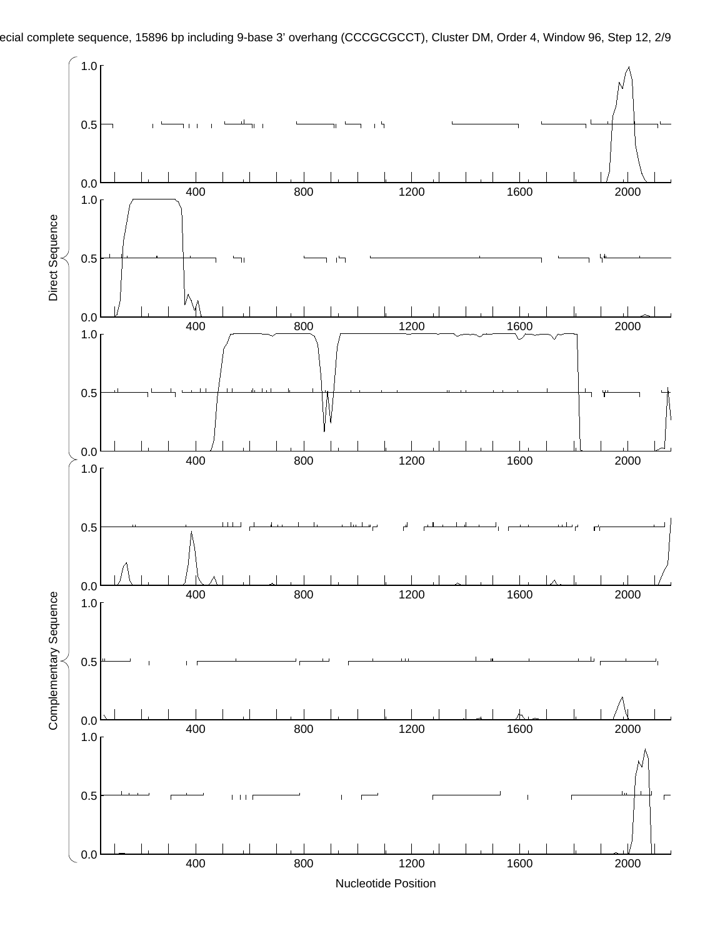

ecial complete sequence, 15896 bp including 9-base 3' overhang (CCCGCGCCT), Cluster DM, Order 4, Window 96, Step 12, 2/9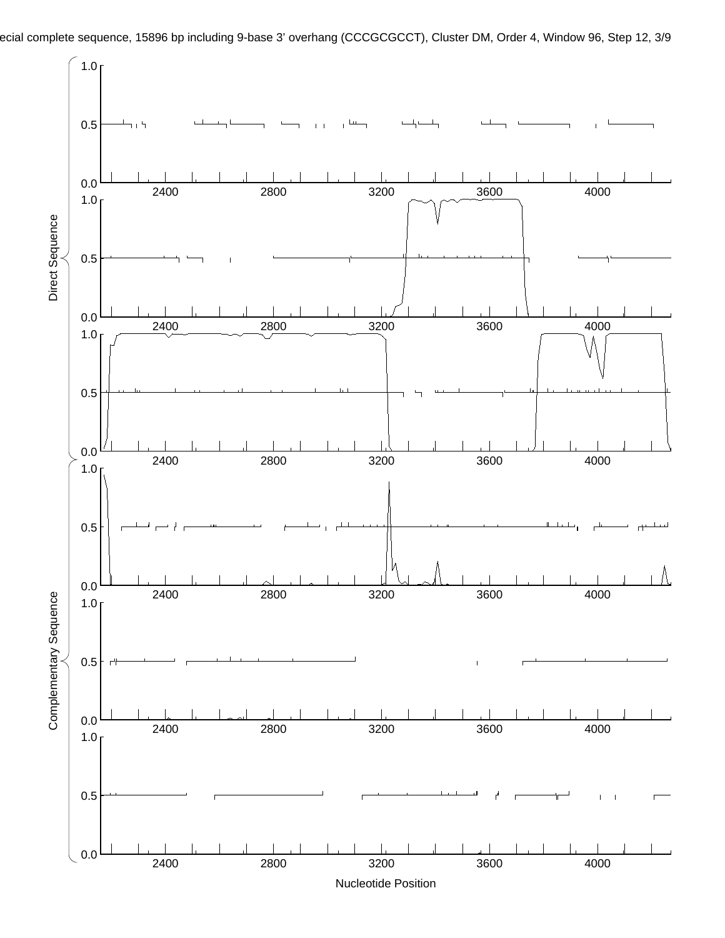

ecial complete sequence, 15896 bp including 9-base 3' overhang (CCCGCGCCT), Cluster DM, Order 4, Window 96, Step 12, 3/9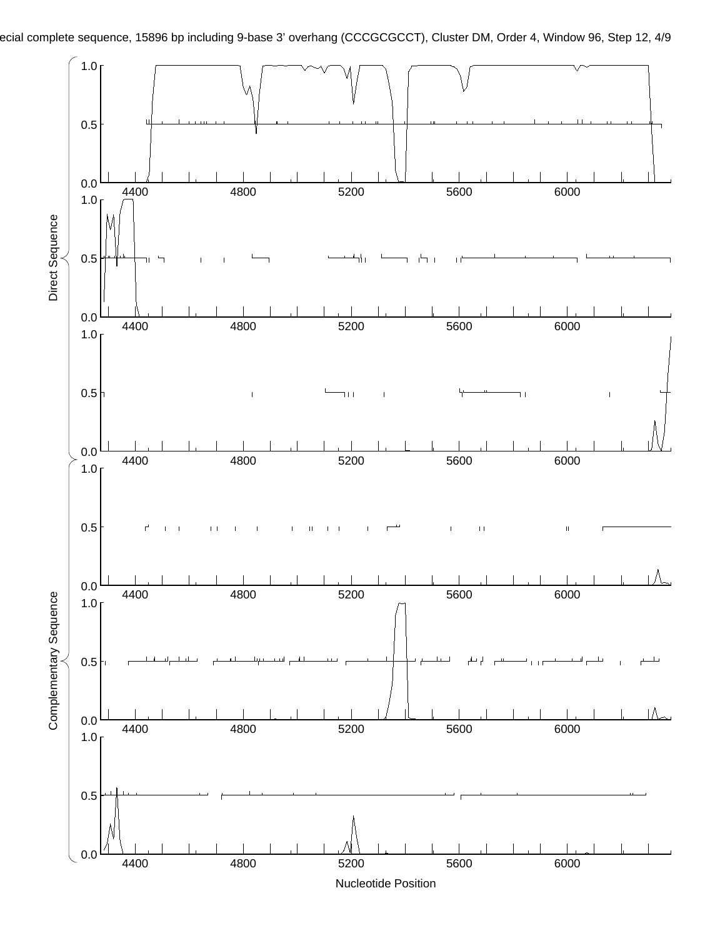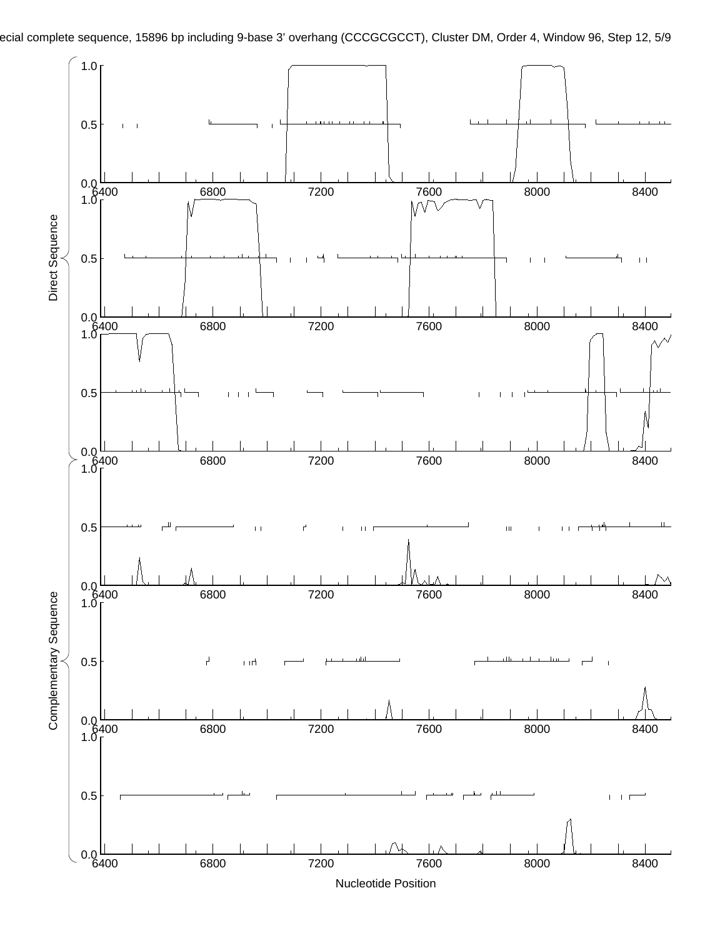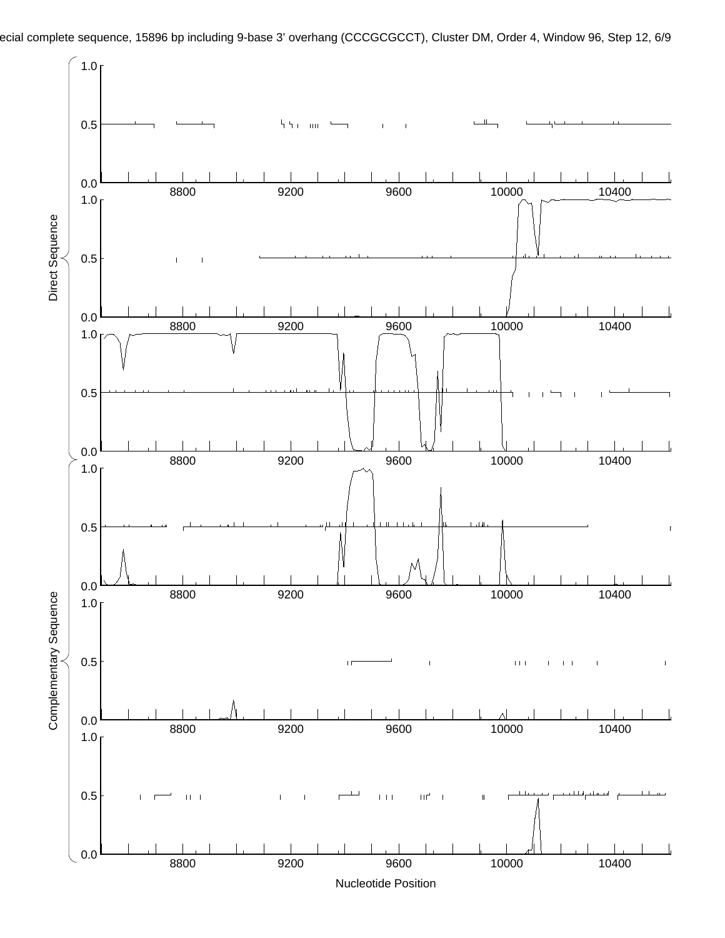

ecial complete sequence, 15896 bp including 9-base 3' overhang (CCCGCGCCT), Cluster DM, Order 4, Window 96, Step 12, 6/9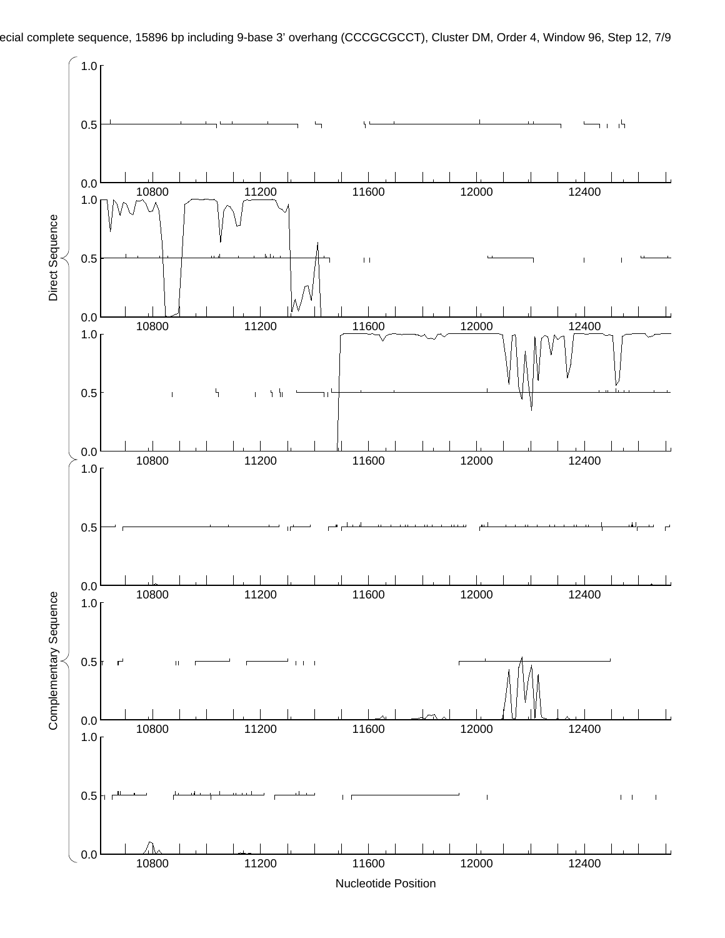

ecial complete sequence, 15896 bp including 9-base 3' overhang (CCCGCGCCT), Cluster DM, Order 4, Window 96, Step 12, 7/9

Nucleotide Position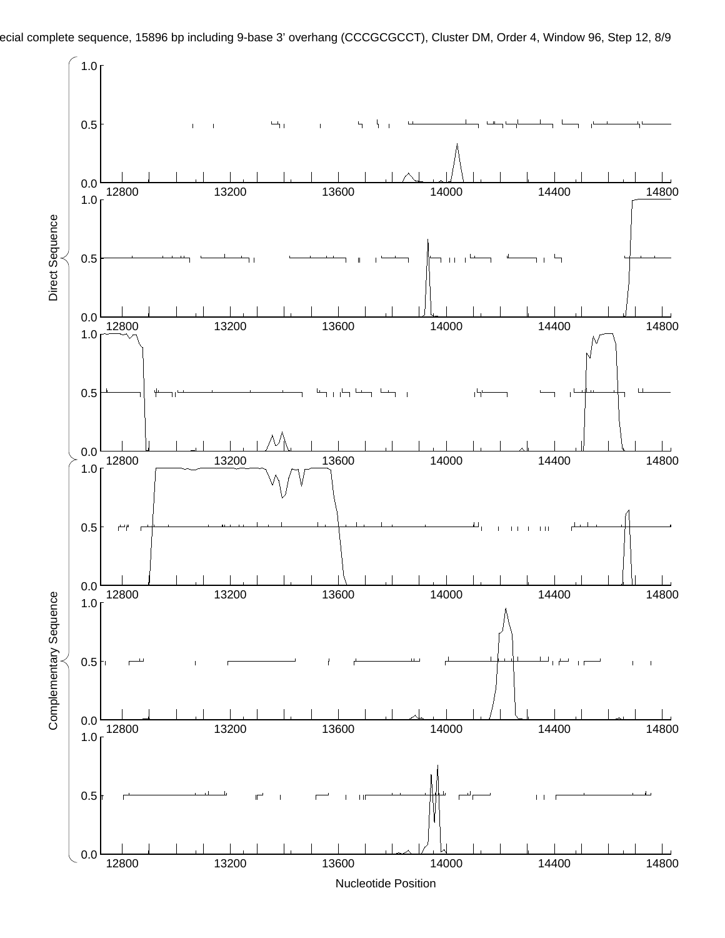

ecial complete sequence, 15896 bp including 9-base 3' overhang (CCCGCGCCT), Cluster DM, Order 4, Window 96, Step 12, 8/9